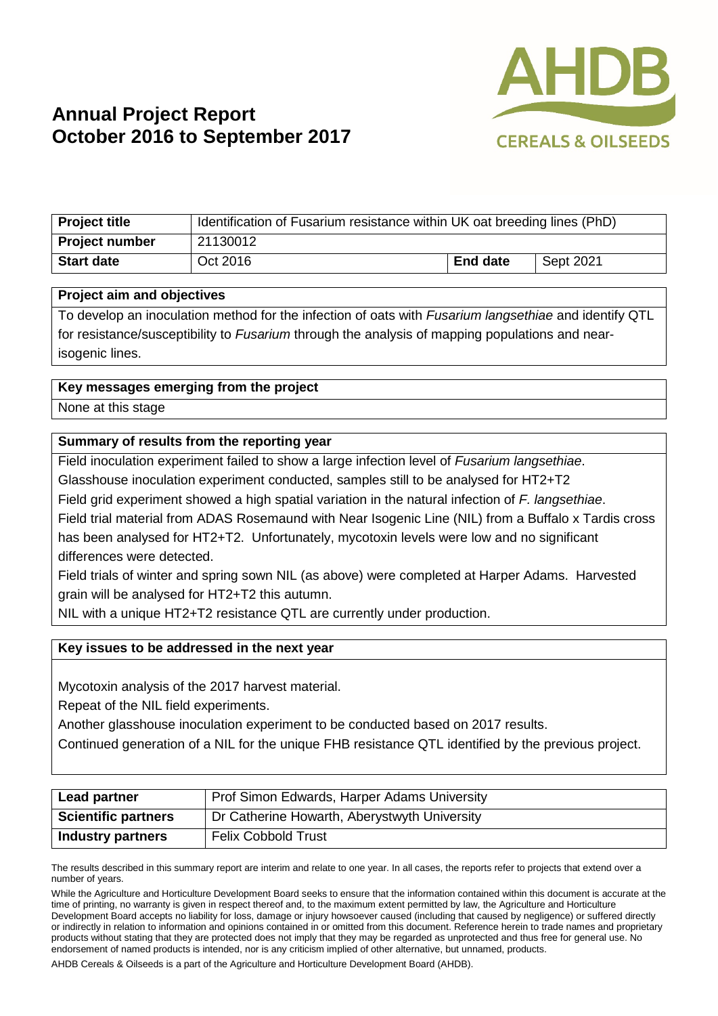

# **Annual Project Report October 2016 to September 2017**

| <b>Project title</b>  | Identification of Fusarium resistance within UK oat breeding lines (PhD) |                 |           |
|-----------------------|--------------------------------------------------------------------------|-----------------|-----------|
| <b>Project number</b> | 21130012                                                                 |                 |           |
| <b>Start date</b>     | Oct 2016                                                                 | <b>End date</b> | Sept 2021 |

#### **Project aim and objectives**

To develop an inoculation method for the infection of oats with *Fusarium langsethiae* and identify QTL for resistance/susceptibility to *Fusarium* through the analysis of mapping populations and nearisogenic lines.

### **Key messages emerging from the project**

None at this stage

### **Summary of results from the reporting year**

Field inoculation experiment failed to show a large infection level of *Fusarium langsethiae*. Glasshouse inoculation experiment conducted, samples still to be analysed for HT2+T2 Field grid experiment showed a high spatial variation in the natural infection of *F. langsethiae*. Field trial material from ADAS Rosemaund with Near Isogenic Line (NIL) from a Buffalo x Tardis cross has been analysed for HT2+T2. Unfortunately, mycotoxin levels were low and no significant differences were detected.

Field trials of winter and spring sown NIL (as above) were completed at Harper Adams. Harvested grain will be analysed for HT2+T2 this autumn.

NIL with a unique HT2+T2 resistance QTL are currently under production.

### **Key issues to be addressed in the next year**

Mycotoxin analysis of the 2017 harvest material.

Repeat of the NIL field experiments.

Another glasshouse inoculation experiment to be conducted based on 2017 results.

Continued generation of a NIL for the unique FHB resistance QTL identified by the previous project.

| Lead partner               | Prof Simon Edwards, Harper Adams University  |  |
|----------------------------|----------------------------------------------|--|
| <b>Scientific partners</b> | Dr Catherine Howarth, Aberystwyth University |  |
| <b>Industry partners</b>   | <b>Felix Cobbold Trust</b>                   |  |

The results described in this summary report are interim and relate to one year. In all cases, the reports refer to projects that extend over a number of years.

While the Agriculture and Horticulture Development Board seeks to ensure that the information contained within this document is accurate at the time of printing, no warranty is given in respect thereof and, to the maximum extent permitted by law, the Agriculture and Horticulture Development Board accepts no liability for loss, damage or injury howsoever caused (including that caused by negligence) or suffered directly or indirectly in relation to information and opinions contained in or omitted from this document. Reference herein to trade names and proprietary products without stating that they are protected does not imply that they may be regarded as unprotected and thus free for general use. No endorsement of named products is intended, nor is any criticism implied of other alternative, but unnamed, products.

AHDB Cereals & Oilseeds is a part of the Agriculture and Horticulture Development Board (AHDB).